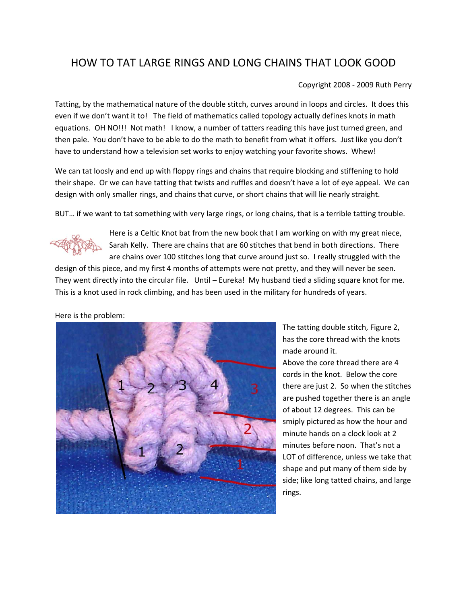## HOW TO TAT LARGE RINGS AND LONG CHAINS THAT LOOK GOOD

## Copyright 2008 ‐ 2009 Ruth Perry

Tatting, by the mathematical nature of the double stitch, curves around in loops and circles. It does this even if we don't want it to! The field of mathematics called topology actually defines knots in math equations. OH NO!!! Not math! I know, a number of tatters reading this have just turned green, and then pale. You don't have to be able to do the math to benefit from what it offers. Just like you don't have to understand how a television set works to enjoy watching your favorite shows. Whew!

We can tat loosly and end up with floppy rings and chains that require blocking and stiffening to hold their shape. Or we can have tatting that twists and ruffles and doesn't have a lot of eye appeal. We can design with only smaller rings, and chains that curve, or short chains that will lie nearly straight.

BUT… if we want to tat something with very large rings, or long chains, that is a terrible tatting trouble.



Here is a Celtic Knot bat from the new book that I am working on with my great niece, Sarah Kelly. There are chains that are 60 stitches that bend in both directions. There are chains over 100 stitches long that curve around just so. I really struggled with the

design of this piece, and my first 4 months of attempts were not pretty, and they will never be seen. They went directly into the circular file. Until – Eureka! My husband tied a sliding square knot for me. This is a knot used in rock climbing, and has been used in the military for hundreds of years.

Here is the problem:



The tatting double stitch, Figure 2, has the core thread with the knots made around it.

Above the core thread there are 4 cords in the knot. Below the core there are just 2. So when the stitches are pushed together there is an angle of about 12 degrees. This can be smiply pictured as how the hour and minute hands on a clock look at 2 minutes before noon. That's not a LOT of difference, unless we take that shape and put many of them side by side; like long tatted chains, and large rings.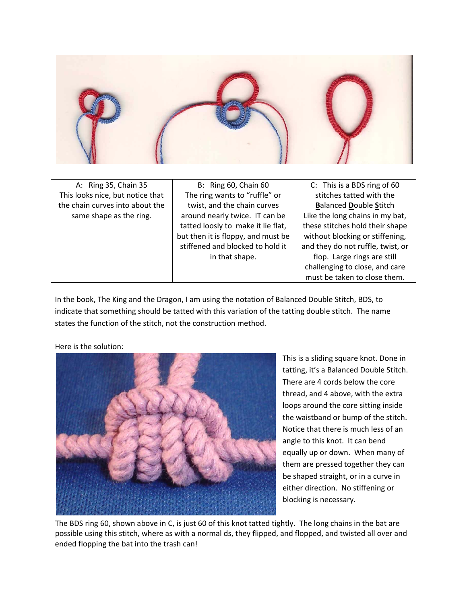

A: Ring 35, Chain 35 This looks nice, but notice that the chain curves into about the same shape as the ring.

B: Ring 60, Chain 60 The ring wants to "ruffle" or twist, and the chain curves around nearly twice. IT can be tatted loosly to make it lie flat, but then it is floppy, and must be stiffened and blocked to hold it in that shape.

C: This is a BDS ring of 60 stitches tatted with the **B**alanced **D**ouble **S**titch Like the long chains in my bat, these stitches hold their shape without blocking or stiffening, and they do not ruffle, twist, or flop. Large rings are still challenging to close, and care must be taken to close them.

In the book, The King and the Dragon, I am using the notation of Balanced Double Stitch, BDS, to indicate that something should be tatted with this variation of the tatting double stitch. The name states the function of the stitch, not the construction method.



Here is the solution:

This is a sliding square knot. Done in tatting, it's a Balanced Double Stitch. There are 4 cords below the core thread, and 4 above, with the extra loops around the core sitting inside the waistband or bump of the stitch. Notice that there is much less of an angle to this knot. It can bend equally up or down. When many of them are pressed together they can be shaped straight, or in a curve in either direction. No stiffening or blocking is necessary.

The BDS ring 60, shown above in C, is just 60 of this knot tatted tightly. The long chains in the bat are possible using this stitch, where as with a normal ds, they flipped, and flopped, and twisted all over and ended flopping the bat into the trash can!